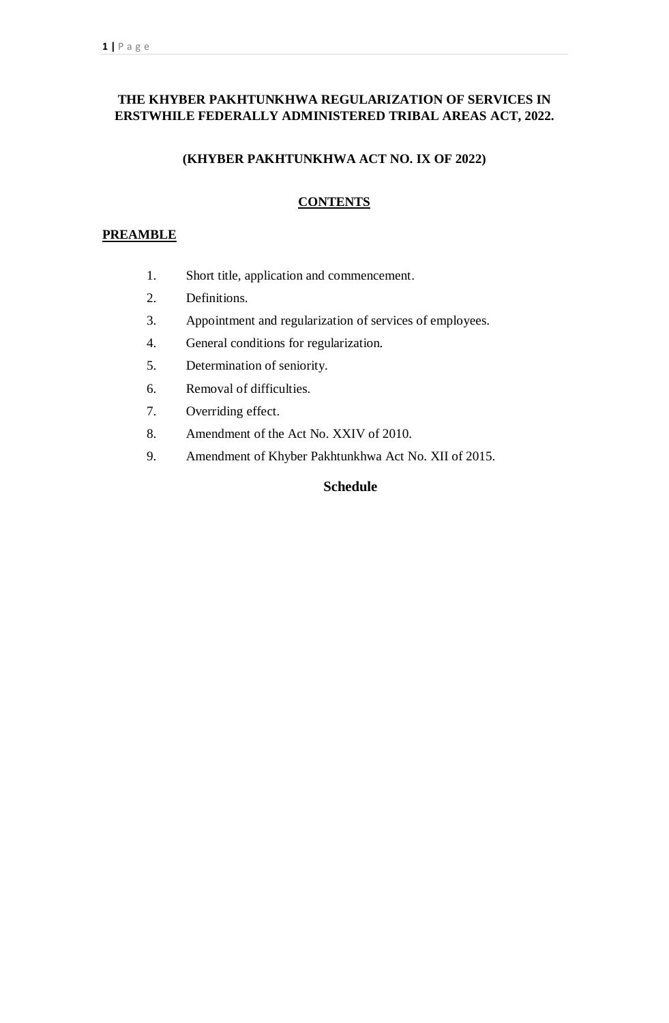# **THE KHYBER PAKHTUNKHWA REGULARIZATION OF SERVICES IN ERSTWHILE FEDERALLY ADMINISTERED TRIBAL AREAS ACT, 2022.**

### **(KHYBER PAKHTUNKHWA ACT NO. IX OF 2022)**

# **CONTENTS**

### **PREAMBLE**

- 1. Short title, application and commencement.
- 2. Definitions.
- 3. Appointment and regularization of services of employees.
- 4. General conditions for regularization.
- 5. Determination of seniority.
- 6. Removal of difficulties.
- 7. Overriding effect.
- 8. Amendment of the Act No. XXIV of 2010.
- 9. Amendment of Khyber Pakhtunkhwa Act No. XII of 2015.

# **Schedule**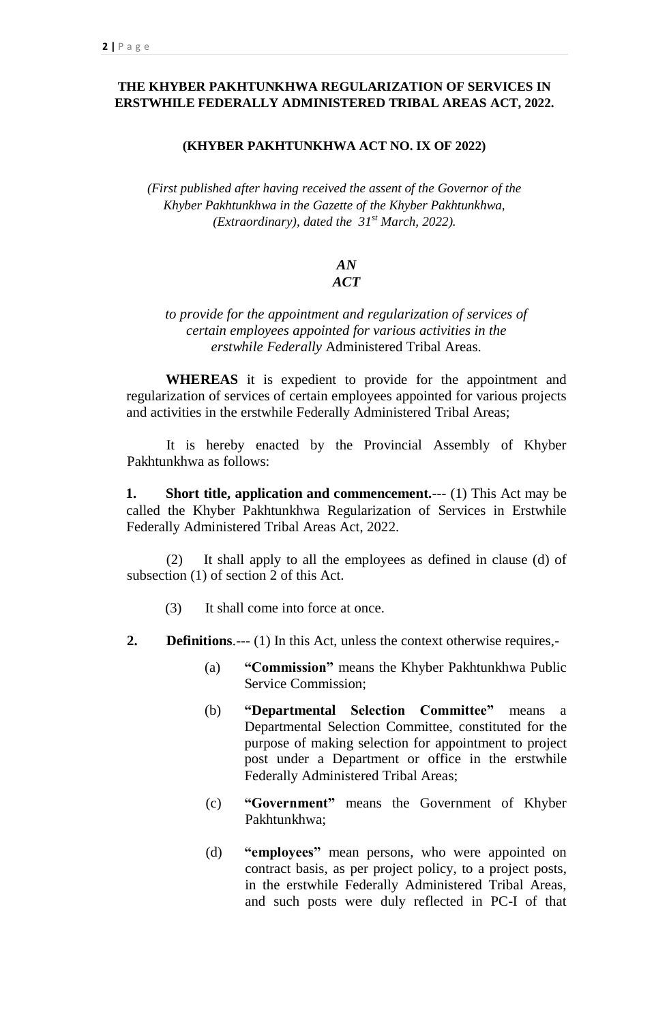# **THE KHYBER PAKHTUNKHWA REGULARIZATION OF SERVICES IN ERSTWHILE FEDERALLY ADMINISTERED TRIBAL AREAS ACT, 2022.**

#### **(KHYBER PAKHTUNKHWA ACT NO. IX OF 2022)**

*(First published after having received the assent of the Governor of the Khyber Pakhtunkhwa in the Gazette of the Khyber Pakhtunkhwa, (Extraordinary), dated the 31st March, 2022).*

#### *AN ACT*

### *to provide for the appointment and regularization of services of certain employees appointed for various activities in the erstwhile Federally* Administered Tribal Areas*.*

**WHEREAS** it is expedient to provide for the appointment and regularization of services of certain employees appointed for various projects and activities in the erstwhile Federally Administered Tribal Areas;

It is hereby enacted by the Provincial Assembly of Khyber Pakhtunkhwa as follows:

**1. Short title, application and commencement.**--- (1) This Act may be called the Khyber Pakhtunkhwa Regularization of Services in Erstwhile Federally Administered Tribal Areas Act, 2022.

(2) It shall apply to all the employees as defined in clause (d) of subsection (1) of section 2 of this Act.

- (3) It shall come into force at once.
- **2. Definitions**.--- (1) In this Act, unless the context otherwise requires,-
	- (a) **"Commission"** means the Khyber Pakhtunkhwa Public Service Commission;
	- (b) **"Departmental Selection Committee"** means a Departmental Selection Committee, constituted for the purpose of making selection for appointment to project post under a Department or office in the erstwhile Federally Administered Tribal Areas;
	- (c) **"Government"** means the Government of Khyber Pakhtunkhwa;
	- (d) **"employees"** mean persons, who were appointed on contract basis, as per project policy, to a project posts, in the erstwhile Federally Administered Tribal Areas, and such posts were duly reflected in PC-I of that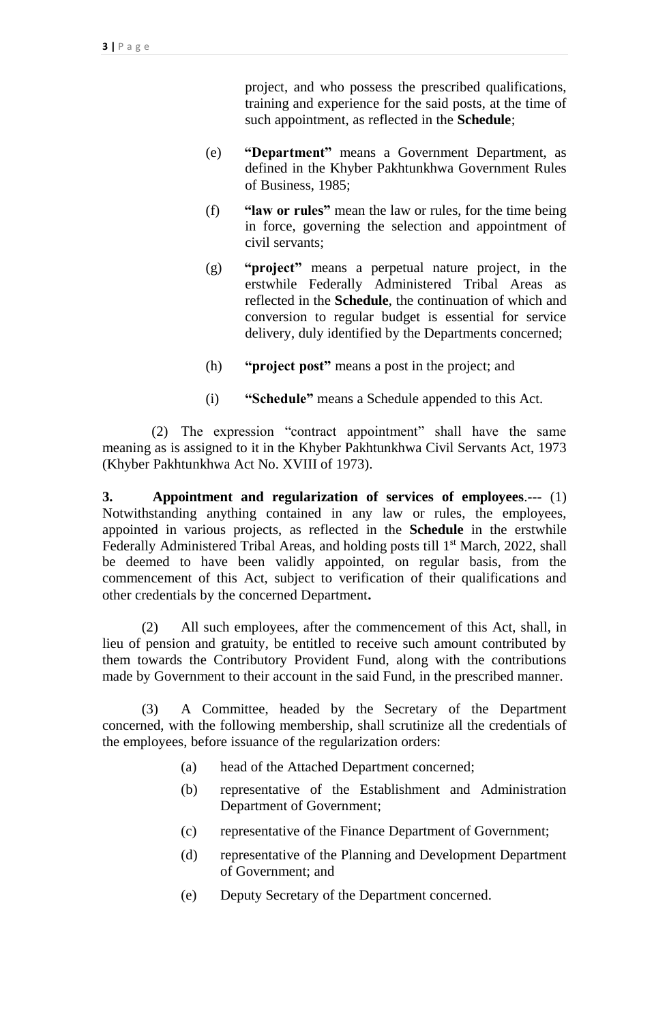project, and who possess the prescribed qualifications, training and experience for the said posts, at the time of such appointment, as reflected in the **Schedule**;

- (e) **"Department"** means a Government Department, as defined in the Khyber Pakhtunkhwa Government Rules of Business, 1985;
- (f) **"law or rules"** mean the law or rules, for the time being in force, governing the selection and appointment of civil servants;
- (g) **"project"** means a perpetual nature project, in the erstwhile Federally Administered Tribal Areas as reflected in the **Schedule**, the continuation of which and conversion to regular budget is essential for service delivery, duly identified by the Departments concerned;
- (h) **"project post"** means a post in the project; and
- (i) **"Schedule"** means a Schedule appended to this Act.

(2) The expression "contract appointment" shall have the same meaning as is assigned to it in the Khyber Pakhtunkhwa Civil Servants Act, 1973 (Khyber Pakhtunkhwa Act No. XVIII of 1973).

**3. Appointment and regularization of services of employees**.--- (1) Notwithstanding anything contained in any law or rules, the employees, appointed in various projects, as reflected in the **Schedule** in the erstwhile Federally Administered Tribal Areas, and holding posts till 1<sup>st</sup> March, 2022, shall be deemed to have been validly appointed, on regular basis, from the commencement of this Act, subject to verification of their qualifications and other credentials by the concerned Department**.**

(2) All such employees, after the commencement of this Act, shall, in lieu of pension and gratuity, be entitled to receive such amount contributed by them towards the Contributory Provident Fund, along with the contributions made by Government to their account in the said Fund, in the prescribed manner.

(3) A Committee, headed by the Secretary of the Department concerned, with the following membership, shall scrutinize all the credentials of the employees, before issuance of the regularization orders:

- (a) head of the Attached Department concerned;
- (b) representative of the Establishment and Administration Department of Government;
- (c) representative of the Finance Department of Government;
- (d) representative of the Planning and Development Department of Government; and
- (e) Deputy Secretary of the Department concerned.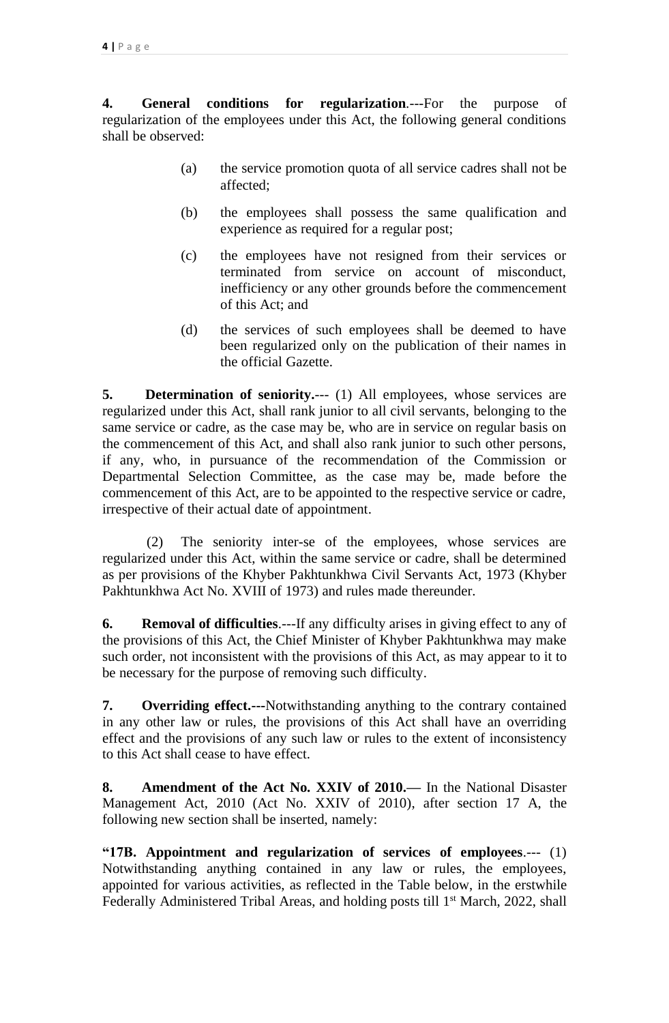**4. General conditions for regularization**.---For the purpose of regularization of the employees under this Act, the following general conditions shall be observed:

- (a) the service promotion quota of all service cadres shall not be affected;
- (b) the employees shall possess the same qualification and experience as required for a regular post;
- (c) the employees have not resigned from their services or terminated from service on account of misconduct, inefficiency or any other grounds before the commencement of this Act; and
- (d) the services of such employees shall be deemed to have been regularized only on the publication of their names in the official Gazette.

**5. Determination of seniority.**--- (1) All employees, whose services are regularized under this Act, shall rank junior to all civil servants, belonging to the same service or cadre, as the case may be, who are in service on regular basis on the commencement of this Act, and shall also rank junior to such other persons, if any, who, in pursuance of the recommendation of the Commission or Departmental Selection Committee, as the case may be, made before the commencement of this Act, are to be appointed to the respective service or cadre, irrespective of their actual date of appointment.

(2) The seniority inter-se of the employees, whose services are regularized under this Act, within the same service or cadre, shall be determined as per provisions of the Khyber Pakhtunkhwa Civil Servants Act, 1973 (Khyber Pakhtunkhwa Act No. XVIII of 1973) and rules made thereunder.

**6. Removal of difficulties**.---If any difficulty arises in giving effect to any of the provisions of this Act, the Chief Minister of Khyber Pakhtunkhwa may make such order, not inconsistent with the provisions of this Act, as may appear to it to be necessary for the purpose of removing such difficulty.

**7. Overriding effect.---**Notwithstanding anything to the contrary contained in any other law or rules, the provisions of this Act shall have an overriding effect and the provisions of any such law or rules to the extent of inconsistency to this Act shall cease to have effect.

**8. Amendment of the Act No. XXIV of 2010.—** In the National Disaster Management Act, 2010 (Act No. XXIV of 2010), after section 17 A, the following new section shall be inserted, namely:

**"17B. Appointment and regularization of services of employees**.--- (1) Notwithstanding anything contained in any law or rules, the employees, appointed for various activities, as reflected in the Table below, in the erstwhile Federally Administered Tribal Areas, and holding posts till 1<sup>st</sup> March, 2022, shall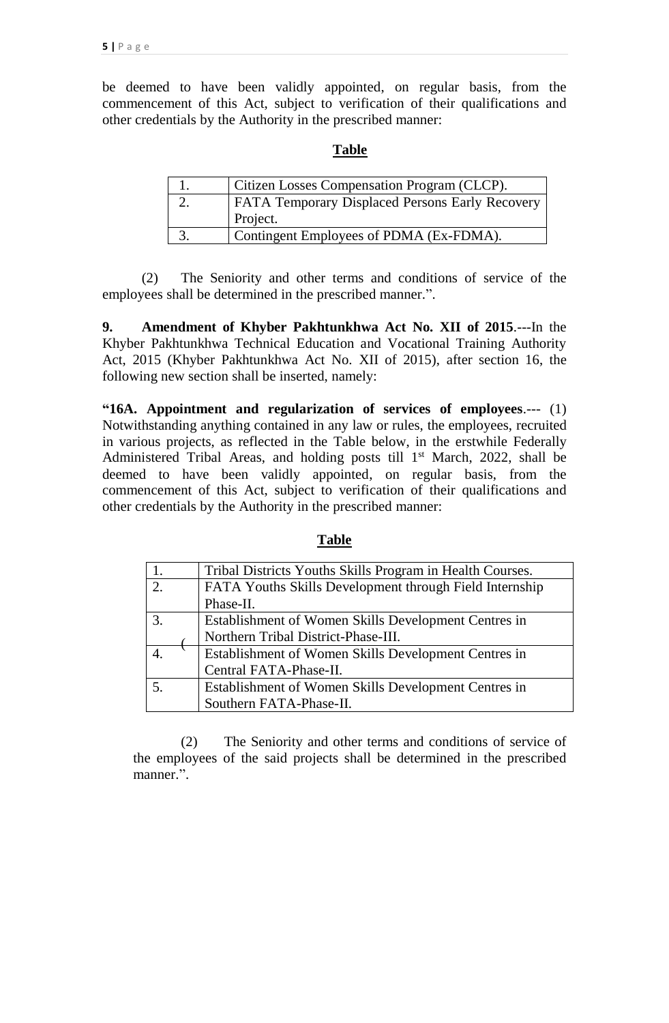be deemed to have been validly appointed, on regular basis, from the commencement of this Act, subject to verification of their qualifications and other credentials by the Authority in the prescribed manner:

### **Table**

|     | Citizen Losses Compensation Program (CLCP).            |
|-----|--------------------------------------------------------|
|     | <b>FATA Temporary Displaced Persons Early Recovery</b> |
|     | Project.                                               |
| ຸບ. | Contingent Employees of PDMA (Ex-FDMA).                |

(2) The Seniority and other terms and conditions of service of the employees shall be determined in the prescribed manner.".

**9. Amendment of Khyber Pakhtunkhwa Act No. XII of 2015**.---In the Khyber Pakhtunkhwa Technical Education and Vocational Training Authority Act, 2015 (Khyber Pakhtunkhwa Act No. XII of 2015), after section 16, the following new section shall be inserted, namely:

**"16A. Appointment and regularization of services of employees**.--- (1) Notwithstanding anything contained in any law or rules, the employees, recruited in various projects, as reflected in the Table below, in the erstwhile Federally Administered Tribal Areas, and holding posts till 1<sup>st</sup> March, 2022, shall be deemed to have been validly appointed, on regular basis, from the commencement of this Act, subject to verification of their qualifications and other credentials by the Authority in the prescribed manner:

|    | Tribal Districts Youths Skills Program in Health Courses. |
|----|-----------------------------------------------------------|
| 2. | FATA Youths Skills Development through Field Internship   |
|    | Phase-II.                                                 |
| 3. | Establishment of Women Skills Development Centres in      |
|    | Northern Tribal District-Phase-III.                       |
|    | Establishment of Women Skills Development Centres in      |
|    | Central FATA-Phase-II.                                    |
| 5. | Establishment of Women Skills Development Centres in      |
|    | Southern FATA-Phase-II.                                   |

## **Table**

(2) The Seniority and other terms and conditions of service of the employees of the said projects shall be determined in the prescribed manner.".